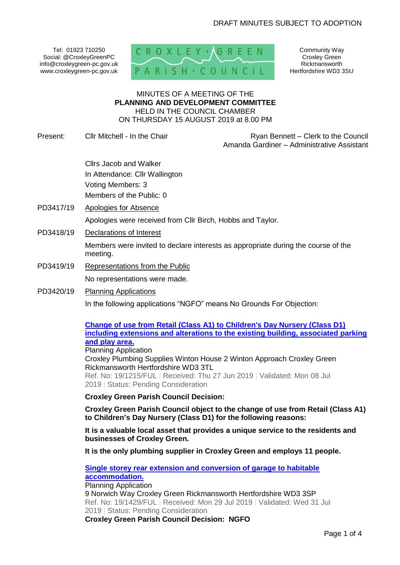Tel: 01923 710250 Social: @CroxleyGreenPC info@croxleygreen-pc.gov.uk www.croxleygreen-pc.gov.uk



Community Way Croxley Green Rickmansworth Hertfordshire WD3 3SU

#### MINUTES OF A MEETING OF THE **PLANNING AND DEVELOPMENT COMMITTEE** HELD IN THE COUNCIL CHAMBER ON THURSDAY 15 AUGUST 2019 at 8.00 PM

Present: Cllr Mitchell - In the Chair Ryan Bennett – Clerk to the Council

Amanda Gardiner – Administrative Assistant

Cllrs Jacob and Walker In Attendance: Cllr Wallington Voting Members: 3 Members of the Public: 0

PD3417/19 Apologies for Absence

Apologies were received from Cllr Birch, Hobbs and Taylor.

PD3418/19 Declarations of Interest

Members were invited to declare interests as appropriate during the course of the meeting.

- PD3419/19 Representations from the Public No representations were made.
- PD3420/19 Planning Applications In the following applications "NGFO" means No Grounds For Objection:

### **[Change of use from Retail \(Class A1\) to Children's Day Nursery \(Class D1\)](https://www3.threerivers.gov.uk/online-applications/applicationDetails.do?activeTab=summary&keyVal=PTSUZ1QF00U00&prevPage=inTray)  [including extensions and alterations to the existing building, associated parking](https://www3.threerivers.gov.uk/online-applications/applicationDetails.do?activeTab=summary&keyVal=PTSUZ1QF00U00&prevPage=inTray)  [and play area.](https://www3.threerivers.gov.uk/online-applications/applicationDetails.do?activeTab=summary&keyVal=PTSUZ1QF00U00&prevPage=inTray)**

Planning Application Croxley Plumbing Supplies Winton House 2 Winton Approach Croxley Green Rickmansworth Hertfordshire WD3 3TL Ref. No: 19/1215/FUL | Received: Thu 27 Jun 2019 | Validated: Mon 08 Jul 2019 | Status: Pending Consideration

**Croxley Green Parish Council Decision:** 

**Croxley Green Parish Council object to the change of use from Retail (Class A1) to Children's Day Nursery (Class D1) for the following reasons:**

**It is a valuable local asset that provides a unique service to the residents and businesses of Croxley Green.** 

**It is the only plumbing supplier in Croxley Green and employs 11 people.**

#### **[Single storey rear extension and conversion of garage to habitable](https://www3.threerivers.gov.uk/online-applications/applicationDetails.do?activeTab=summary&keyVal=PVELVLQF0D100&prevPage=inTray)  [accommodation.](https://www3.threerivers.gov.uk/online-applications/applicationDetails.do?activeTab=summary&keyVal=PVELVLQF0D100&prevPage=inTray)** Planning Application 9 Norwich Way Croxley Green Rickmansworth Hertfordshire WD3 3SP Ref. No: 19/1429/FUL | Received: Mon 29 Jul 2019 | Validated: Wed 31 Jul 2019 | Status: Pending Consideration **Croxley Green Parish Council Decision: NGFO**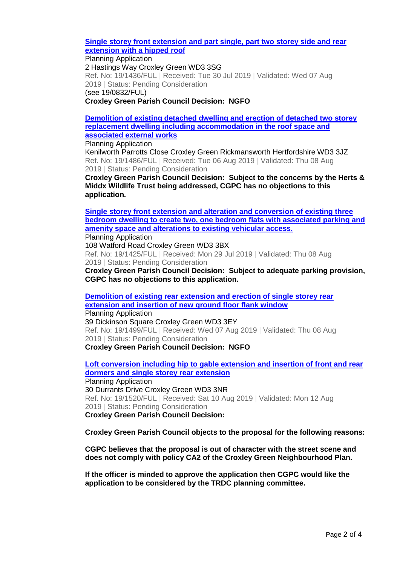#### **[Single storey front extension and part single, part two storey side and rear](https://www3.threerivers.gov.uk/online-applications/applicationDetails.do?activeTab=summary&keyVal=PVG0UNQFG7W00&prevPage=inTray)  [extension with a hipped roof](https://www3.threerivers.gov.uk/online-applications/applicationDetails.do?activeTab=summary&keyVal=PVG0UNQFG7W00&prevPage=inTray)**

Planning Application 2 Hastings Way Croxley Green WD3 3SG Ref. No: 19/1436/FUL | Received: Tue 30 Jul 2019 | Validated: Wed 07 Aug 2019 | Status: Pending Consideration (see 19/0832/FUL)

**Croxley Green Parish Council Decision: NGFO**

**[Demolition of existing detached dwelling and erection of detached two storey](https://www3.threerivers.gov.uk/online-applications/applicationDetails.do?activeTab=summary&keyVal=PVSZJHQFGAF00&prevPage=inTray)  [replacement dwelling including accommodation in the roof space and](https://www3.threerivers.gov.uk/online-applications/applicationDetails.do?activeTab=summary&keyVal=PVSZJHQFGAF00&prevPage=inTray)  [associated external](https://www3.threerivers.gov.uk/online-applications/applicationDetails.do?activeTab=summary&keyVal=PVSZJHQFGAF00&prevPage=inTray) works**

Planning Application

Kenilworth Parrotts Close Croxley Green Rickmansworth Hertfordshire WD3 3JZ Ref. No: 19/1486/FUL | Received: Tue 06 Aug 2019 | Validated: Thu 08 Aug 2019 | Status: Pending Consideration

**Croxley Green Parish Council Decision: Subject to the concerns by the Herts & Middx Wildlife Trust being addressed, CGPC has no objections to this application.**

**[Single storey front extension and alteration and conversion of existing three](https://www3.threerivers.gov.uk/online-applications/applicationDetails.do?activeTab=summary&keyVal=PVCBH2QFG7900&prevPage=inTray)  [bedroom dwelling to create two, one bedroom flats with associated parking and](https://www3.threerivers.gov.uk/online-applications/applicationDetails.do?activeTab=summary&keyVal=PVCBH2QFG7900&prevPage=inTray)  [amenity space and alterations to existing vehicular access.](https://www3.threerivers.gov.uk/online-applications/applicationDetails.do?activeTab=summary&keyVal=PVCBH2QFG7900&prevPage=inTray)**

Planning Application 108 Watford Road Croxley Green WD3 3BX Ref. No: 19/1425/FUL | Received: Mon 29 Jul 2019 | Validated: Thu 08 Aug 2019 | Status: Pending Consideration

**Croxley Green Parish Council Decision: Subject to adequate parking provision, CGPC has no objections to this application.**

**[Demolition of existing rear extension and erection of single storey rear](https://www3.threerivers.gov.uk/online-applications/applicationDetails.do?activeTab=summary&keyVal=PVUU8CQFGAW00&prevPage=inTray)  [extension and insertion of new ground floor flank window](https://www3.threerivers.gov.uk/online-applications/applicationDetails.do?activeTab=summary&keyVal=PVUU8CQFGAW00&prevPage=inTray)** Planning Application

39 Dickinson Square Croxley Green WD3 3EY Ref. No: 19/1499/FUL | Received: Wed 07 Aug 2019 | Validated: Thu 08 Aug 2019 | Status: Pending Consideration **Croxley Green Parish Council Decision: NGFO**

**[Loft conversion including hip to gable extension and insertion of front and rear](https://www3.threerivers.gov.uk/online-applications/applicationDetails.do?activeTab=summary&keyVal=PW0E5FQFGBX00&prevPage=inTray)  [dormers and single storey rear extension](https://www3.threerivers.gov.uk/online-applications/applicationDetails.do?activeTab=summary&keyVal=PW0E5FQFGBX00&prevPage=inTray)** Planning Application 30 Durrants Drive Croxley Green WD3 3NR Ref. No: 19/1520/FUL | Received: Sat 10 Aug 2019 | Validated: Mon 12 Aug 2019 | Status: Pending Consideration **Croxley Green Parish Council Decision:** 

**Croxley Green Parish Council objects to the proposal for the following reasons:**

**CGPC believes that the proposal is out of character with the street scene and does not comply with policy CA2 of the Croxley Green Neighbourhood Plan.** 

**If the officer is minded to approve the application then CGPC would like the application to be considered by the TRDC planning committee.**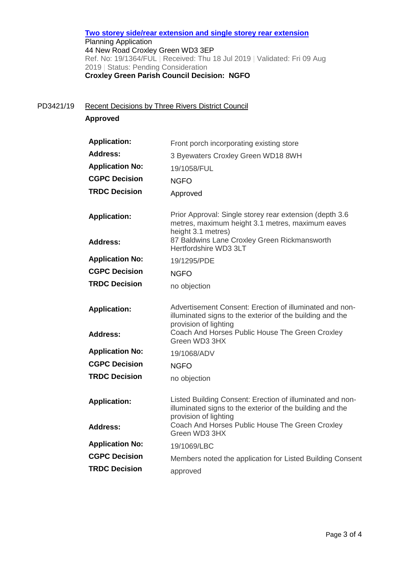**[Two storey side/rear extension and single storey rear extension](https://www3.threerivers.gov.uk/online-applications/applicationDetails.do?activeTab=summary&keyVal=PUTSUNQFG4200&prevPage=inTray)** Planning Application 44 New Road Croxley Green WD3 3EP Ref. No: 19/1364/FUL | Received: Thu 18 Jul 2019 | Validated: Fri 09 Aug 2019 | Status: Pending Consideration **Croxley Green Parish Council Decision: NGFO**

PD3421/19 Recent Decisions by Three Rivers District Council

**Approved**

| <b>Application:</b>    | Front porch incorporating existing store                                                                                                        |
|------------------------|-------------------------------------------------------------------------------------------------------------------------------------------------|
| <b>Address:</b>        | 3 Byewaters Croxley Green WD18 8WH                                                                                                              |
| <b>Application No:</b> | 19/1058/FUL                                                                                                                                     |
| <b>CGPC Decision</b>   | <b>NGFO</b>                                                                                                                                     |
| <b>TRDC Decision</b>   | Approved                                                                                                                                        |
| <b>Application:</b>    | Prior Approval: Single storey rear extension (depth 3.6)<br>metres, maximum height 3.1 metres, maximum eaves<br>height 3.1 metres)              |
| <b>Address:</b>        | 87 Baldwins Lane Croxley Green Rickmansworth<br>Hertfordshire WD3 3LT                                                                           |
| <b>Application No:</b> | 19/1295/PDE                                                                                                                                     |
| <b>CGPC Decision</b>   | <b>NGFO</b>                                                                                                                                     |
| <b>TRDC Decision</b>   | no objection                                                                                                                                    |
| <b>Application:</b>    | Advertisement Consent: Erection of illuminated and non-<br>illuminated signs to the exterior of the building and the<br>provision of lighting   |
| Address:               | Coach And Horses Public House The Green Croxley<br>Green WD3 3HX                                                                                |
| <b>Application No:</b> | 19/1068/ADV                                                                                                                                     |
| <b>CGPC Decision</b>   | <b>NGFO</b>                                                                                                                                     |
| <b>TRDC Decision</b>   | no objection                                                                                                                                    |
| <b>Application:</b>    | Listed Building Consent: Erection of illuminated and non-<br>illuminated signs to the exterior of the building and the<br>provision of lighting |
| <b>Address:</b>        | Coach And Horses Public House The Green Croxley<br>Green WD3 3HX                                                                                |
| <b>Application No:</b> | 19/1069/LBC                                                                                                                                     |
| <b>CGPC Decision</b>   | Members noted the application for Listed Building Consent                                                                                       |
| <b>TRDC Decision</b>   | approved                                                                                                                                        |